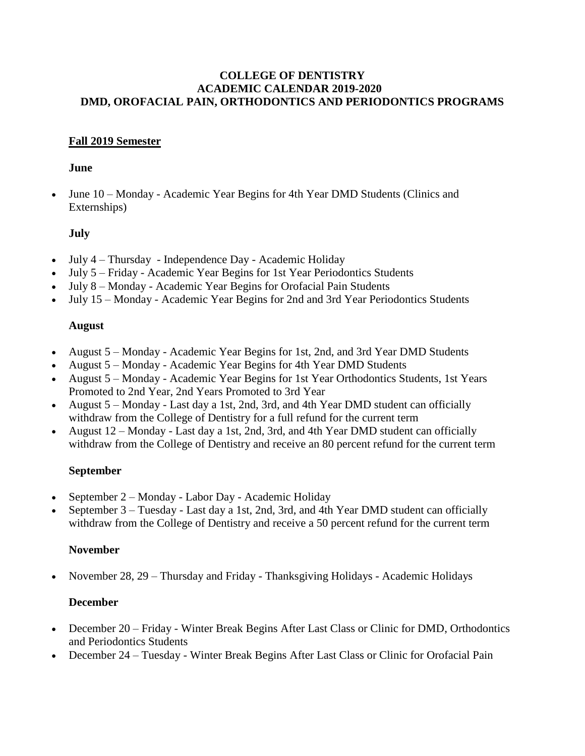#### **COLLEGE OF DENTISTRY ACADEMIC CALENDAR 2019-2020 DMD, OROFACIAL PAIN, ORTHODONTICS AND PERIODONTICS PROGRAMS**

## **Fall 2019 Semester**

#### **June**

 June 10 – Monday - Academic Year Begins for 4th Year DMD Students (Clinics and Externships)

## **July**

- July 4 Thursday Independence Day Academic Holiday
- July 5 Friday Academic Year Begins for 1st Year Periodontics Students
- July 8 Monday Academic Year Begins for Orofacial Pain Students
- July 15 Monday Academic Year Begins for 2nd and 3rd Year Periodontics Students

## **August**

- August 5 Monday Academic Year Begins for 1st, 2nd, and 3rd Year DMD Students
- August 5 Monday Academic Year Begins for 4th Year DMD Students
- August 5 Monday Academic Year Begins for 1st Year Orthodontics Students, 1st Years Promoted to 2nd Year, 2nd Years Promoted to 3rd Year
- August 5 Monday Last day a 1st, 2nd, 3rd, and 4th Year DMD student can officially withdraw from the College of Dentistry for a full refund for the current term
- August 12 Monday Last day a 1st, 2nd, 3rd, and 4th Year DMD student can officially withdraw from the College of Dentistry and receive an 80 percent refund for the current term

### **September**

- September 2 Monday Labor Day Academic Holiday
- September 3 Tuesday Last day a 1st, 2nd, 3rd, and 4th Year DMD student can officially withdraw from the College of Dentistry and receive a 50 percent refund for the current term

### **November**

November 28, 29 – Thursday and Friday - Thanksgiving Holidays - Academic Holidays

# **December**

- December 20 Friday Winter Break Begins After Last Class or Clinic for DMD, Orthodontics and Periodontics Students
- December 24 Tuesday Winter Break Begins After Last Class or Clinic for Orofacial Pain